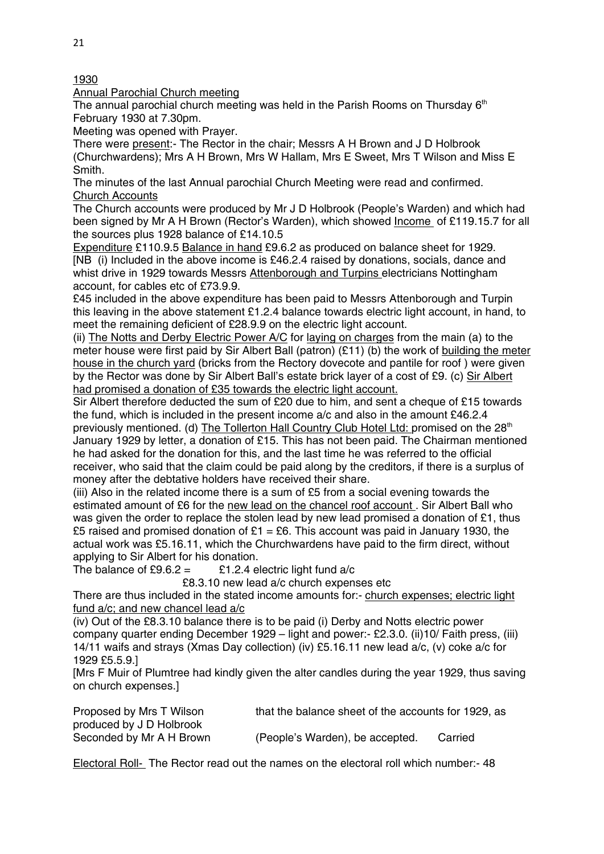1930

Annual Parochial Church meeting

The annual parochial church meeting was held in the Parish Rooms on Thursday  $6<sup>th</sup>$ February 1930 at 7.30pm.

Meeting was opened with Prayer.

There were present:- The Rector in the chair; Messrs A H Brown and J D Holbrook (Churchwardens); Mrs A H Brown, Mrs W Hallam, Mrs E Sweet, Mrs T Wilson and Miss E Smith.

The minutes of the last Annual parochial Church Meeting were read and confirmed. Church Accounts

The Church accounts were produced by Mr J D Holbrook (People's Warden) and which had been signed by Mr A H Brown (Rector's Warden), which showed Income of £119.15.7 for all the sources plus 1928 balance of £14.10.5

Expenditure £110.9.5 Balance in hand £9.6.2 as produced on balance sheet for 1929. [NB (i) Included in the above income is £46.2.4 raised by donations, socials, dance and whist drive in 1929 towards Messrs Attenborough and Turpins electricians Nottingham account, for cables etc of £73.9.9.

£45 included in the above expenditure has been paid to Messrs Attenborough and Turpin this leaving in the above statement £1.2.4 balance towards electric light account, in hand, to meet the remaining deficient of £28.9.9 on the electric light account.

(ii) The Notts and Derby Electric Power A/C for laying on charges from the main (a) to the meter house were first paid by Sir Albert Ball (patron) (£11) (b) the work of building the meter house in the church yard (bricks from the Rectory dovecote and pantile for roof ) were given by the Rector was done by Sir Albert Ball's estate brick layer of a cost of £9. (c) Sir Albert had promised a donation of £35 towards the electric light account.

Sir Albert therefore deducted the sum of £20 due to him, and sent a cheque of £15 towards the fund, which is included in the present income a/c and also in the amount £46.2.4 previously mentioned. (d) The Tollerton Hall Country Club Hotel Ltd: promised on the 28<sup>th</sup> January 1929 by letter, a donation of £15. This has not been paid. The Chairman mentioned he had asked for the donation for this, and the last time he was referred to the official receiver, who said that the claim could be paid along by the creditors, if there is a surplus of money after the debtative holders have received their share.

(iii) Also in the related income there is a sum of £5 from a social evening towards the estimated amount of £6 for the new lead on the chancel roof account . Sir Albert Ball who was given the order to replace the stolen lead by new lead promised a donation of £1, thus £5 raised and promised donation of £1 = £6. This account was paid in January 1930, the actual work was £5.16.11, which the Churchwardens have paid to the firm direct, without applying to Sir Albert for his donation.

The balance of  $\text{\pounds}9.6.2 =$   $\text{\pounds}1.2.4$  electric light fund a/c

£8.3.10 new lead a/c church expenses etc

There are thus included in the stated income amounts for:- church expenses; electric light fund a/c; and new chancel lead a/c

(iv) Out of the £8.3.10 balance there is to be paid (i) Derby and Notts electric power company quarter ending December 1929 – light and power:- £2.3.0. (ii)10/ Faith press, (iii) 14/11 waifs and strays (Xmas Day collection) (iv) £5.16.11 new lead a/c, (v) coke a/c for 1929 £5.5.9.]

[Mrs F Muir of Plumtree had kindly given the alter candles during the year 1929, thus saving on church expenses.]

| Proposed by Mrs T Wilson | that the balance sheet of the accounts for 1929, as |         |
|--------------------------|-----------------------------------------------------|---------|
| produced by J D Holbrook |                                                     |         |
| Seconded by Mr A H Brown | (People's Warden), be accepted.                     | Carried |

Electoral Roll- The Rector read out the names on the electoral roll which number:- 48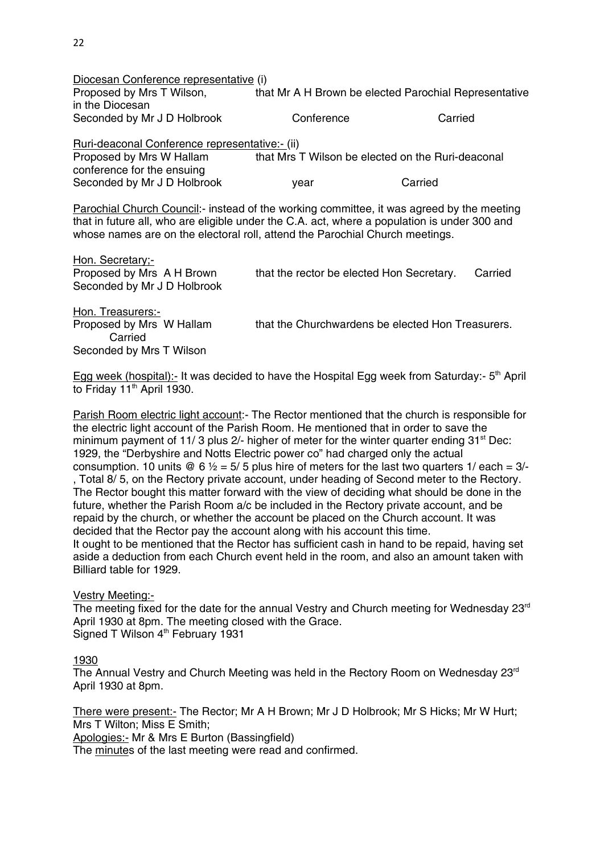| Diocesan Conference representative (i)                                                           |                                                   |                                                       |
|--------------------------------------------------------------------------------------------------|---------------------------------------------------|-------------------------------------------------------|
| Proposed by Mrs T Wilson,                                                                        |                                                   | that Mr A H Brown be elected Parochial Representative |
| in the Diocesan                                                                                  |                                                   |                                                       |
| Seconded by Mr J D Holbrook                                                                      | Conference                                        | Carried                                               |
| Ruri-deaconal Conference representative:- (ii)                                                   |                                                   |                                                       |
| Proposed by Mrs W Hallam                                                                         | that Mrs T Wilson be elected on the Ruri-deaconal |                                                       |
| conference for the ensuing                                                                       |                                                   |                                                       |
| Seconded by Mr J D Holbrook                                                                      | vear                                              | Carried                                               |
| <b>Parochial Church Council:- instead of the working committee, it was agreed by the meeting</b> |                                                   |                                                       |
| that in future all, who are eligible under the C.A. act, where a population is under 300 and     |                                                   |                                                       |
| whose names are on the electoral roll, attend the Parochial Church meetings.                     |                                                   |                                                       |

| Hon. Secretary:-            |                                           |         |
|-----------------------------|-------------------------------------------|---------|
| Proposed by Mrs A H Brown   | that the rector be elected Hon Secretary. | Carried |
| Seconded by Mr J D Holbrook |                                           |         |
|                             |                                           |         |

Hon. Treasurers:- Carried Seconded by Mrs T Wilson

Proposed by Mrs W Hallam that the Churchwardens be elected Hon Treasurers.

Egg week (hospital):- It was decided to have the Hospital Egg week from Saturday:-  $5<sup>th</sup>$  April to Friday 11<sup>th</sup> April 1930.

Parish Room electric light account:- The Rector mentioned that the church is responsible for the electric light account of the Parish Room. He mentioned that in order to save the minimum payment of 11/ 3 plus 2/- higher of meter for the winter quarter ending  $31<sup>st</sup>$  Dec: 1929, the "Derbyshire and Notts Electric power co" had charged only the actual consumption. 10 units  $\mathcal{Q}_6$  6  $\frac{1}{2}$  = 5/ 5 plus hire of meters for the last two quarters 1/ each = 3/-, Total 8/ 5, on the Rectory private account, under heading of Second meter to the Rectory. The Rector bought this matter forward with the view of deciding what should be done in the future, whether the Parish Room a/c be included in the Rectory private account, and be repaid by the church, or whether the account be placed on the Church account. It was decided that the Rector pay the account along with his account this time.

It ought to be mentioned that the Rector has sufficient cash in hand to be repaid, having set aside a deduction from each Church event held in the room, and also an amount taken with Billiard table for 1929.

Vestry Meeting:-

The meeting fixed for the date for the annual Vestry and Church meeting for Wednesday 23<sup>rd</sup> April 1930 at 8pm. The meeting closed with the Grace. Signed T Wilson 4<sup>th</sup> February 1931

1930

The Annual Vestry and Church Meeting was held in the Rectory Room on Wednesday  $23<sup>rd</sup>$ April 1930 at 8pm.

There were present:- The Rector; Mr A H Brown; Mr J D Holbrook; Mr S Hicks; Mr W Hurt; Mrs T Wilton; Miss E Smith;

Apologies:- Mr & Mrs E Burton (Bassingfield)

The minutes of the last meeting were read and confirmed.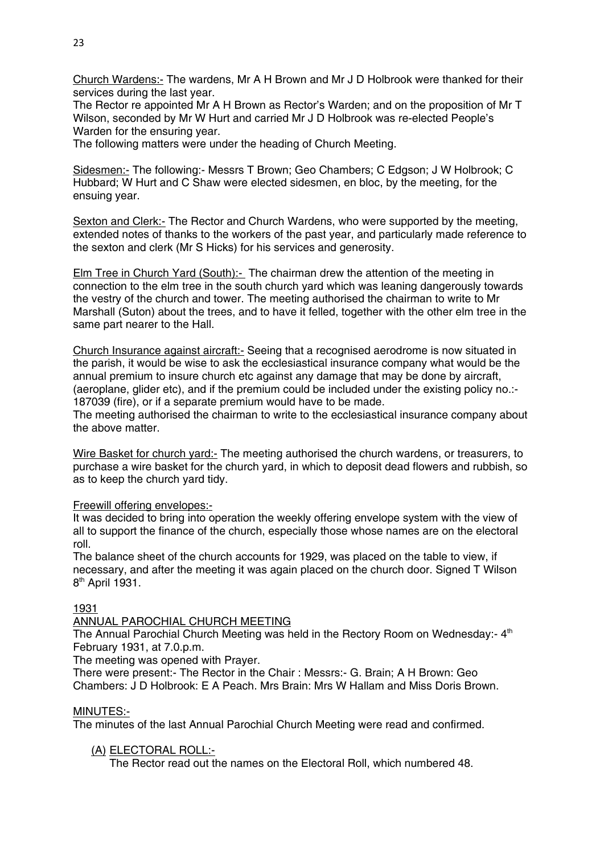Church Wardens:- The wardens, Mr A H Brown and Mr J D Holbrook were thanked for their services during the last year.

The Rector re appointed Mr A H Brown as Rector's Warden; and on the proposition of Mr T Wilson, seconded by Mr W Hurt and carried Mr J D Holbrook was re-elected People's Warden for the ensuring year.

The following matters were under the heading of Church Meeting.

Sidesmen:- The following:- Messrs T Brown; Geo Chambers; C Edgson; J W Holbrook; C Hubbard; W Hurt and C Shaw were elected sidesmen, en bloc, by the meeting, for the ensuing year.

Sexton and Clerk:- The Rector and Church Wardens, who were supported by the meeting, extended notes of thanks to the workers of the past year, and particularly made reference to the sexton and clerk (Mr S Hicks) for his services and generosity.

Elm Tree in Church Yard (South):- The chairman drew the attention of the meeting in connection to the elm tree in the south church yard which was leaning dangerously towards the vestry of the church and tower. The meeting authorised the chairman to write to Mr Marshall (Suton) about the trees, and to have it felled, together with the other elm tree in the same part nearer to the Hall.

Church Insurance against aircraft:- Seeing that a recognised aerodrome is now situated in the parish, it would be wise to ask the ecclesiastical insurance company what would be the annual premium to insure church etc against any damage that may be done by aircraft, (aeroplane, glider etc), and if the premium could be included under the existing policy no.:- 187039 (fire), or if a separate premium would have to be made.

The meeting authorised the chairman to write to the ecclesiastical insurance company about the above matter.

Wire Basket for church yard:- The meeting authorised the church wardens, or treasurers, to purchase a wire basket for the church yard, in which to deposit dead flowers and rubbish, so as to keep the church yard tidy.

### Freewill offering envelopes:-

It was decided to bring into operation the weekly offering envelope system with the view of all to support the finance of the church, especially those whose names are on the electoral roll.

The balance sheet of the church accounts for 1929, was placed on the table to view, if necessary, and after the meeting it was again placed on the church door. Signed T Wilson 8<sup>th</sup> April 1931.

### 1931

### ANNUAL PAROCHIAL CHURCH MEETING

The Annual Parochial Church Meeting was held in the Rectory Room on Wednesday:- $4<sup>th</sup>$ February 1931, at 7.0.p.m.

The meeting was opened with Prayer.

There were present:- The Rector in the Chair : Messrs:- G. Brain; A H Brown: Geo Chambers: J D Holbrook: E A Peach. Mrs Brain: Mrs W Hallam and Miss Doris Brown.

### MINUTES:-

The minutes of the last Annual Parochial Church Meeting were read and confirmed.

# (A) ELECTORAL ROLL:-

The Rector read out the names on the Electoral Roll, which numbered 48.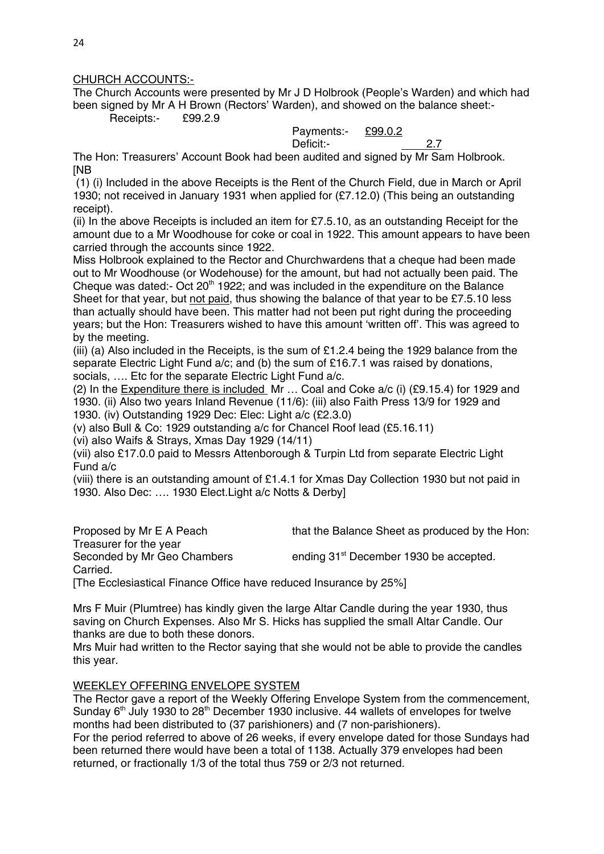## CHURCH ACCOUNTS:-

The Church Accounts were presented by Mr J D Holbrook (People's Warden) and which had been signed by Mr A H Brown (Rectors' Warden), and showed on the balance sheet:- Receipts:- £99.2.9

 Payments:- £99.0.2 Deficit:- 2.7

The Hon: Treasurers' Account Book had been audited and signed by Mr Sam Holbrook. [NB

 (1) (i) Included in the above Receipts is the Rent of the Church Field, due in March or April 1930; not received in January 1931 when applied for (£7.12.0) (This being an outstanding receipt).

(ii) In the above Receipts is included an item for £7.5.10, as an outstanding Receipt for the amount due to a Mr Woodhouse for coke or coal in 1922. This amount appears to have been carried through the accounts since 1922.

Miss Holbrook explained to the Rector and Churchwardens that a cheque had been made out to Mr Woodhouse (or Wodehouse) for the amount, but had not actually been paid. The Cheque was dated:- Oct  $20<sup>th</sup>$  1922; and was included in the expenditure on the Balance Sheet for that year, but not paid, thus showing the balance of that year to be £7.5.10 less than actually should have been. This matter had not been put right during the proceeding years; but the Hon: Treasurers wished to have this amount 'written off'. This was agreed to by the meeting.

(iii) (a) Also included in the Receipts, is the sum of £1.2.4 being the 1929 balance from the separate Electric Light Fund a/c; and (b) the sum of £16.7.1 was raised by donations, socials, …. Etc for the separate Electric Light Fund a/c.

(2) In the Expenditure there is included Mr … Coal and Coke a/c (i) (£9.15.4) for 1929 and 1930. (ii) Also two years Inland Revenue (11/6): (iii) also Faith Press 13/9 for 1929 and 1930. (iv) Outstanding 1929 Dec: Elec: Light a/c (£2.3.0)

(v) also Bull & Co: 1929 outstanding a/c for Chancel Roof lead (£5.16.11)

(vi) also Waifs & Strays, Xmas Day 1929 (14/11)

(vii) also £17.0.0 paid to Messrs Attenborough & Turpin Ltd from separate Electric Light Fund a/c

(viii) there is an outstanding amount of £1.4.1 for Xmas Day Collection 1930 but not paid in 1930. Also Dec: …. 1930 Elect.Light a/c Notts & Derby]

Proposed by Mr E A Peach that the Balance Sheet as produced by the Hon: Treasurer for the year Seconded by Mr Geo Chambers ending 31<sup>st</sup> December 1930 be accepted. Carried. [The Ecclesiastical Finance Office have reduced Insurance by 25%]

Mrs F Muir (Plumtree) has kindly given the large Altar Candle during the year 1930, thus saving on Church Expenses. Also Mr S. Hicks has supplied the small Altar Candle. Our thanks are due to both these donors.

Mrs Muir had written to the Rector saying that she would not be able to provide the candles this year.

# WEEKLEY OFFERING ENVELOPE SYSTEM

The Rector gave a report of the Weekly Offering Envelope System from the commencement, Sunday  $6<sup>th</sup>$  July 1930 to 28<sup>th</sup> December 1930 inclusive. 44 wallets of envelopes for twelve months had been distributed to (37 parishioners) and (7 non-parishioners).

For the period referred to above of 26 weeks, if every envelope dated for those Sundays had been returned there would have been a total of 1138. Actually 379 envelopes had been returned, or fractionally 1/3 of the total thus 759 or 2/3 not returned.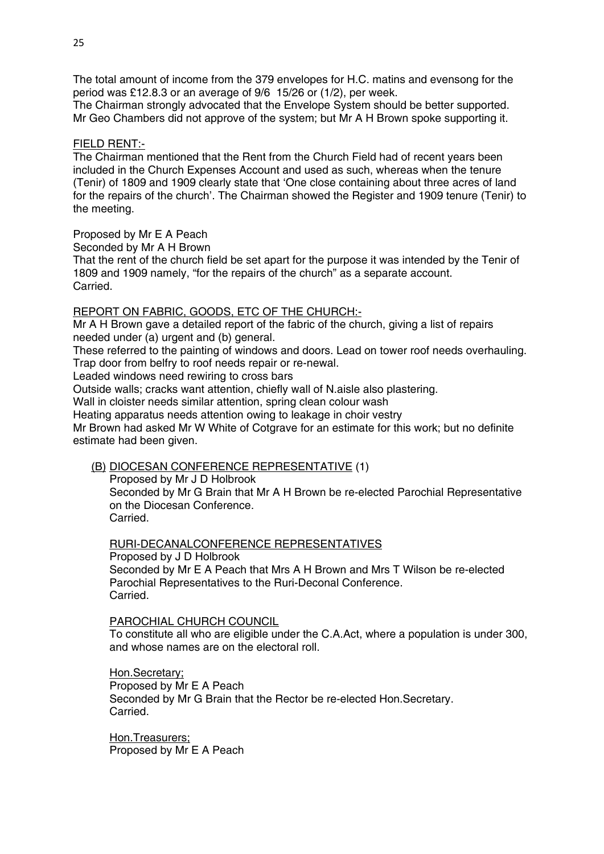The total amount of income from the 379 envelopes for H.C. matins and evensong for the period was £12.8.3 or an average of 9/6 15/26 or (1/2), per week.

The Chairman strongly advocated that the Envelope System should be better supported. Mr Geo Chambers did not approve of the system; but Mr A H Brown spoke supporting it.

### FIELD RENT:-

The Chairman mentioned that the Rent from the Church Field had of recent years been included in the Church Expenses Account and used as such, whereas when the tenure (Tenir) of 1809 and 1909 clearly state that 'One close containing about three acres of land for the repairs of the church'. The Chairman showed the Register and 1909 tenure (Tenir) to the meeting.

### Proposed by Mr E A Peach

Seconded by Mr A H Brown

That the rent of the church field be set apart for the purpose it was intended by the Tenir of 1809 and 1909 namely, "for the repairs of the church" as a separate account. Carried.

## REPORT ON FABRIC, GOODS, ETC OF THE CHURCH:-

Mr A H Brown gave a detailed report of the fabric of the church, giving a list of repairs needed under (a) urgent and (b) general.

These referred to the painting of windows and doors. Lead on tower roof needs overhauling. Trap door from belfry to roof needs repair or re-newal.

Leaded windows need rewiring to cross bars

Outside walls; cracks want attention, chiefly wall of N.aisle also plastering.

Wall in cloister needs similar attention, spring clean colour wash

Heating apparatus needs attention owing to leakage in choir vestry

Mr Brown had asked Mr W White of Cotgrave for an estimate for this work; but no definite estimate had been given.

# (B) DIOCESAN CONFERENCE REPRESENTATIVE (1)

Proposed by Mr J D Holbrook Seconded by Mr G Brain that Mr A H Brown be re-elected Parochial Representative on the Diocesan Conference. **Carried** 

RURI-DECANALCONFERENCE REPRESENTATIVES Proposed by J D Holbrook Seconded by Mr E A Peach that Mrs A H Brown and Mrs T Wilson be re-elected Parochial Representatives to the Ruri-Deconal Conference.

Carried.

PAROCHIAL CHURCH COUNCIL

To constitute all who are eligible under the C.A.Act, where a population is under 300, and whose names are on the electoral roll.

Hon.Secretary; Proposed by Mr E A Peach Seconded by Mr G Brain that the Rector be re-elected Hon.Secretary. Carried.

Hon.Treasurers; Proposed by Mr E A Peach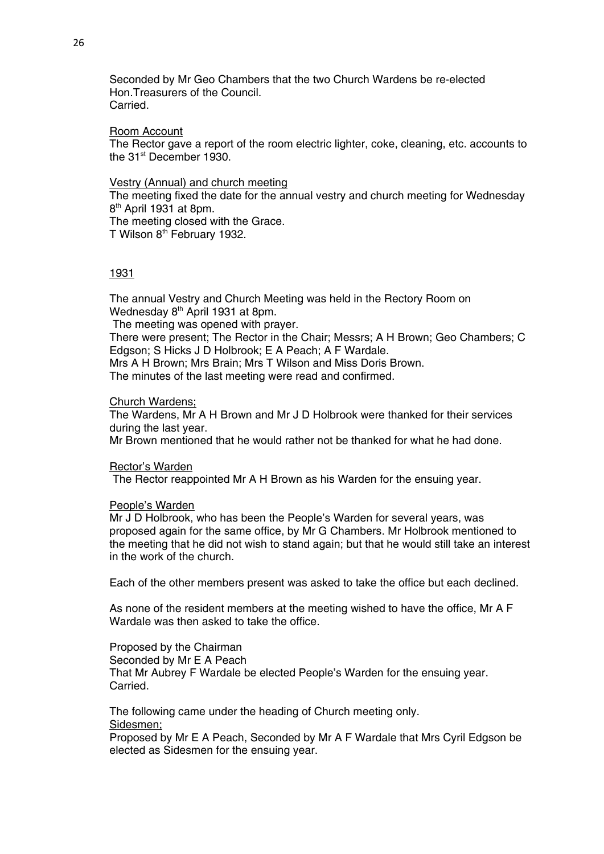Seconded by Mr Geo Chambers that the two Church Wardens be re-elected Hon.Treasurers of the Council. Carried.

#### Room Account

The Rector gave a report of the room electric lighter, coke, cleaning, etc. accounts to the 31<sup>st</sup> December 1930.

### Vestry (Annual) and church meeting

The meeting fixed the date for the annual vestry and church meeting for Wednesday 8th April 1931 at 8pm.

The meeting closed with the Grace.

T Wilson 8<sup>th</sup> February 1932.

# 1931

The annual Vestry and Church Meeting was held in the Rectory Room on Wednesday 8<sup>th</sup> April 1931 at 8pm. The meeting was opened with prayer. There were present; The Rector in the Chair; Messrs; A H Brown; Geo Chambers; C Edgson; S Hicks J D Holbrook; E A Peach; A F Wardale. Mrs A H Brown; Mrs Brain; Mrs T Wilson and Miss Doris Brown. The minutes of the last meeting were read and confirmed.

#### Church Wardens;

The Wardens, Mr A H Brown and Mr J D Holbrook were thanked for their services during the last year.

Mr Brown mentioned that he would rather not be thanked for what he had done.

Rector's Warden

The Rector reappointed Mr A H Brown as his Warden for the ensuing year.

#### People's Warden

Mr J D Holbrook, who has been the People's Warden for several years, was proposed again for the same office, by Mr G Chambers. Mr Holbrook mentioned to the meeting that he did not wish to stand again; but that he would still take an interest in the work of the church.

Each of the other members present was asked to take the office but each declined.

As none of the resident members at the meeting wished to have the office, Mr A F Wardale was then asked to take the office.

Proposed by the Chairman Seconded by Mr E A Peach That Mr Aubrey F Wardale be elected People's Warden for the ensuing year. Carried.

The following came under the heading of Church meeting only. Sidesmen;

Proposed by Mr E A Peach, Seconded by Mr A F Wardale that Mrs Cyril Edgson be elected as Sidesmen for the ensuing year.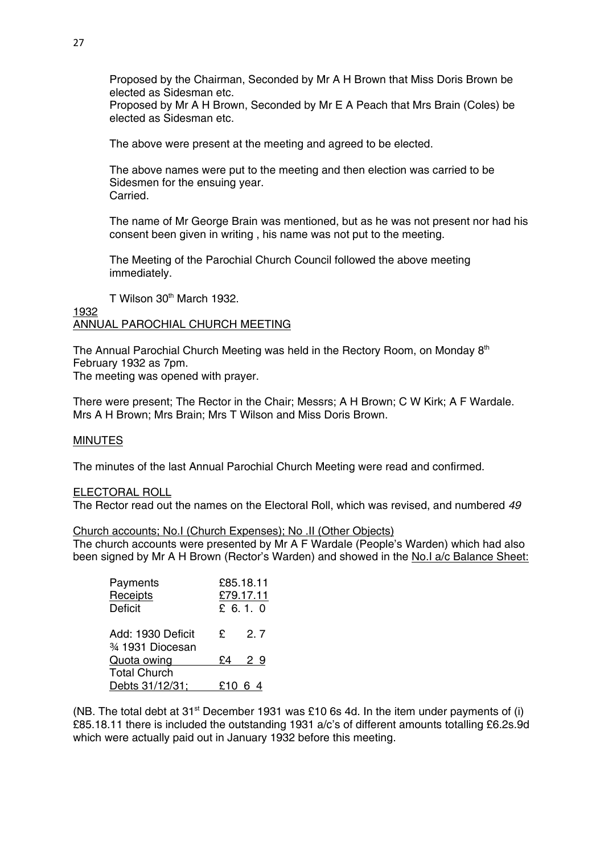Proposed by the Chairman, Seconded by Mr A H Brown that Miss Doris Brown be elected as Sidesman etc.

Proposed by Mr A H Brown, Seconded by Mr E A Peach that Mrs Brain (Coles) be elected as Sidesman etc.

The above were present at the meeting and agreed to be elected.

The above names were put to the meeting and then election was carried to be Sidesmen for the ensuing year. Carried.

The name of Mr George Brain was mentioned, but as he was not present nor had his consent been given in writing , his name was not put to the meeting.

The Meeting of the Parochial Church Council followed the above meeting immediately.

T Wilson 30<sup>th</sup> March 1932.

## 1932 ANNUAL PAROCHIAL CHURCH MEETING

The Annual Parochial Church Meeting was held in the Rectory Room, on Monday  $8<sup>th</sup>$ February 1932 as 7pm. The meeting was opened with prayer.

There were present; The Rector in the Chair; Messrs; A H Brown; C W Kirk; A F Wardale. Mrs A H Brown; Mrs Brain; Mrs T Wilson and Miss Doris Brown.

# **MINUTES**

The minutes of the last Annual Parochial Church Meeting were read and confirmed.

### ELECTORAL ROLL

The Rector read out the names on the Electoral Roll, which was revised, and numbered *49*

## Church accounts; No.I (Church Expenses); No .II (Other Objects)

The church accounts were presented by Mr A F Wardale (People's Warden) which had also been signed by Mr A H Brown (Rector's Warden) and showed in the No.I a/c Balance Sheet:

| Payments            |    | £85.18.11 |
|---------------------|----|-----------|
| Receipts            |    | £79.17.11 |
| <b>Deficit</b>      |    | £ 6.1.0   |
| Add: 1930 Deficit   | £  | 2.7       |
| 3⁄4 1931 Diocesan   |    |           |
| Quota owing         | £4 | 29        |
| <b>Total Church</b> |    |           |
| Debts 31/12/31;     |    | £10 6 4   |

(NB. The total debt at  $31<sup>st</sup>$  December 1931 was £10 6s 4d. In the item under payments of (i) £85.18.11 there is included the outstanding 1931 a/c's of different amounts totalling £6.2s.9d which were actually paid out in January 1932 before this meeting.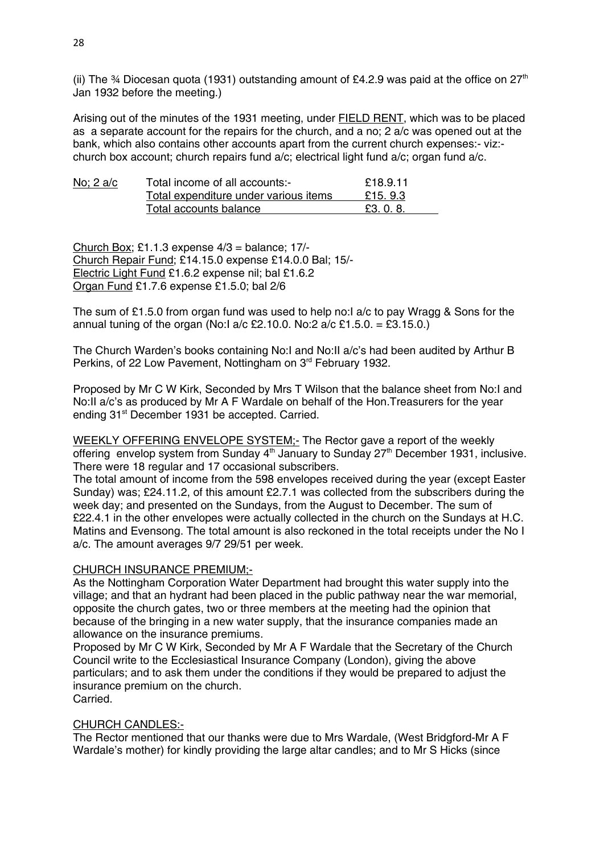(ii) The  $\frac{3}{4}$  Diocesan quota (1931) outstanding amount of £4.2.9 was paid at the office on 27<sup>th</sup> Jan 1932 before the meeting.)

Arising out of the minutes of the 1931 meeting, under FIELD RENT, which was to be placed as a separate account for the repairs for the church, and a no; 2 a/c was opened out at the bank, which also contains other accounts apart from the current church expenses:- viz: church box account; church repairs fund a/c; electrical light fund a/c; organ fund a/c.

| <u>No; 2 a/c</u> | Total income of all accounts:-        | £18.9.11  |
|------------------|---------------------------------------|-----------|
|                  | Total expenditure under various items | £15, 9.3  |
|                  | Total accounts balance                | £3, 0, 8, |

Church Box; £1.1.3 expense 4/3 = balance; 17/- Church Repair Fund; £14.15.0 expense £14.0.0 Bal; 15/- Electric Light Fund £1.6.2 expense nil; bal £1.6.2 Organ Fund £1.7.6 expense £1.5.0; bal 2/6

The sum of £1.5.0 from organ fund was used to help no:I a/c to pay Wragg & Sons for the annual tuning of the organ (No:I a/c £2.10.0. No:2 a/c £1.5.0. = £3.15.0.)

The Church Warden's books containing No:I and No:II a/c's had been audited by Arthur B Perkins, of 22 Low Pavement, Nottingham on 3<sup>rd</sup> February 1932.

Proposed by Mr C W Kirk, Seconded by Mrs T Wilson that the balance sheet from No:I and No:II a/c's as produced by Mr A F Wardale on behalf of the Hon.Treasurers for the year ending 31<sup>st</sup> December 1931 be accepted. Carried.

WEEKLY OFFERING ENVELOPE SYSTEM;- The Rector gave a report of the weekly offering envelop system from Sunday  $4<sup>th</sup>$  January to Sunday  $27<sup>th</sup>$  December 1931, inclusive. There were 18 regular and 17 occasional subscribers.

The total amount of income from the 598 envelopes received during the year (except Easter Sunday) was; £24.11.2, of this amount £2.7.1 was collected from the subscribers during the week day; and presented on the Sundays, from the August to December. The sum of £22.4.1 in the other envelopes were actually collected in the church on the Sundays at H.C. Matins and Evensong. The total amount is also reckoned in the total receipts under the No I a/c. The amount averages 9/7 29/51 per week.

# CHURCH INSURANCE PREMIUM;-

As the Nottingham Corporation Water Department had brought this water supply into the village; and that an hydrant had been placed in the public pathway near the war memorial, opposite the church gates, two or three members at the meeting had the opinion that because of the bringing in a new water supply, that the insurance companies made an allowance on the insurance premiums.

Proposed by Mr C W Kirk, Seconded by Mr A F Wardale that the Secretary of the Church Council write to the Ecclesiastical Insurance Company (London), giving the above particulars; and to ask them under the conditions if they would be prepared to adjust the insurance premium on the church. Carried.

## CHURCH CANDLES:-

The Rector mentioned that our thanks were due to Mrs Wardale, (West Bridgford-Mr A F Wardale's mother) for kindly providing the large altar candles; and to Mr S Hicks (since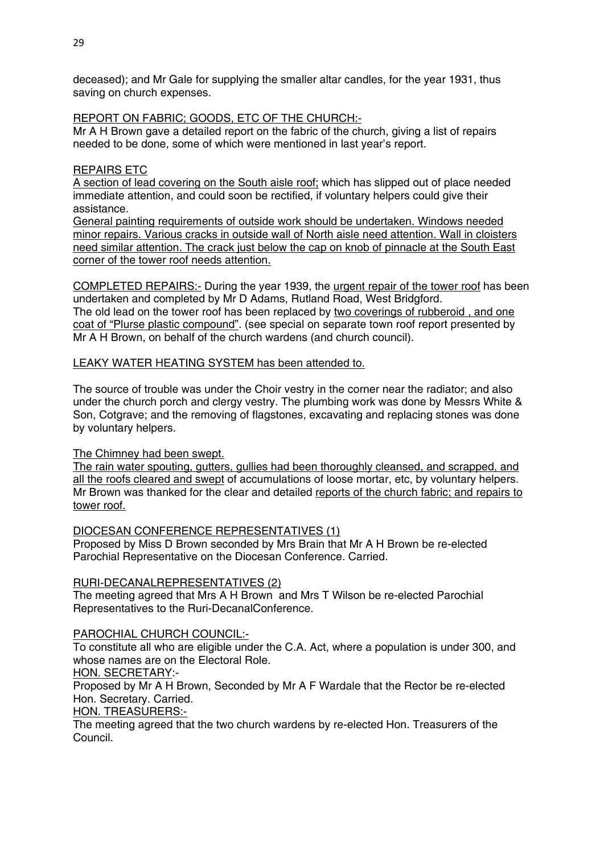deceased); and Mr Gale for supplying the smaller altar candles, for the year 1931, thus saving on church expenses.

REPORT ON FABRIC; GOODS, ETC OF THE CHURCH:-

Mr A H Brown gave a detailed report on the fabric of the church, giving a list of repairs needed to be done, some of which were mentioned in last year's report.

# REPAIRS ETC

A section of lead covering on the South aisle roof; which has slipped out of place needed immediate attention, and could soon be rectified, if voluntary helpers could give their assistance.

General painting requirements of outside work should be undertaken. Windows needed minor repairs. Various cracks in outside wall of North aisle need attention. Wall in cloisters need similar attention. The crack just below the cap on knob of pinnacle at the South East corner of the tower roof needs attention.

COMPLETED REPAIRS:- During the year 1939, the urgent repair of the tower roof has been undertaken and completed by Mr D Adams, Rutland Road, West Bridgford. The old lead on the tower roof has been replaced by two coverings of rubberoid , and one coat of "Plurse plastic compound". (see special on separate town roof report presented by Mr A H Brown, on behalf of the church wardens (and church council).

LEAKY WATER HEATING SYSTEM has been attended to.

The source of trouble was under the Choir vestry in the corner near the radiator; and also under the church porch and clergy vestry. The plumbing work was done by Messrs White & Son, Cotgrave; and the removing of flagstones, excavating and replacing stones was done by voluntary helpers.

# The Chimney had been swept.

The rain water spouting, gutters, gullies had been thoroughly cleansed, and scrapped, and all the roofs cleared and swept of accumulations of loose mortar, etc, by voluntary helpers. Mr Brown was thanked for the clear and detailed reports of the church fabric; and repairs to tower roof.

DIOCESAN CONFERENCE REPRESENTATIVES (1)

Proposed by Miss D Brown seconded by Mrs Brain that Mr A H Brown be re-elected Parochial Representative on the Diocesan Conference. Carried.

# RURI-DECANALREPRESENTATIVES (2)

The meeting agreed that Mrs A H Brown and Mrs T Wilson be re-elected Parochial Representatives to the Ruri-DecanalConference.

# PAROCHIAL CHURCH COUNCIL:-

To constitute all who are eligible under the C.A. Act, where a population is under 300, and whose names are on the Electoral Role.

HON. SECRETARY:-

Proposed by Mr A H Brown, Seconded by Mr A F Wardale that the Rector be re-elected Hon. Secretary. Carried.

HON. TREASURERS:-

The meeting agreed that the two church wardens by re-elected Hon. Treasurers of the Council.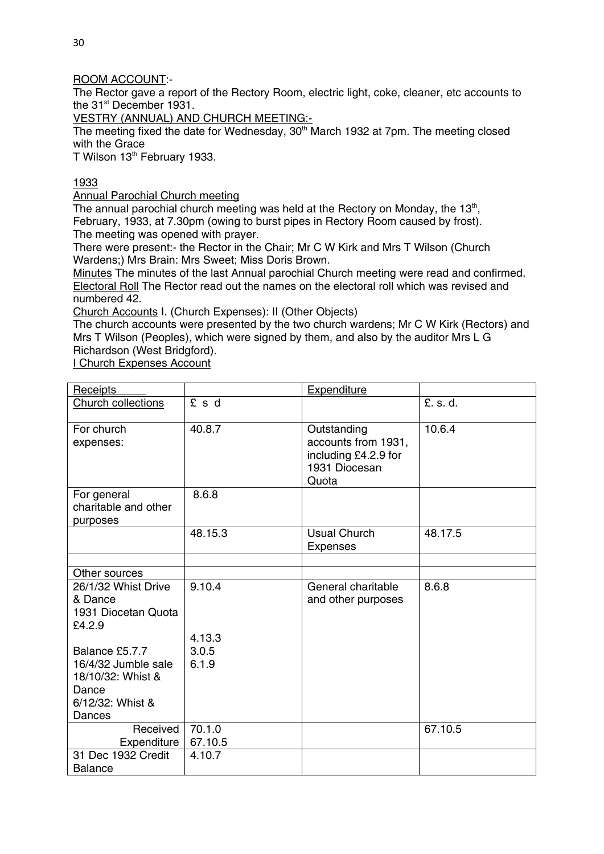# ROOM ACCOUNT:-

The Rector gave a report of the Rectory Room, electric light, coke, cleaner, etc accounts to the 31<sup>st</sup> December 1931.

VESTRY (ANNUAL) AND CHURCH MEETING:-

The meeting fixed the date for Wednesday,  $30<sup>th</sup>$  March 1932 at 7pm. The meeting closed with the Grace

T Wilson 13<sup>th</sup> February 1933.

# 1933

Annual Parochial Church meeting

The annual parochial church meeting was held at the Rectory on Monday, the 13<sup>th</sup>, February, 1933, at 7.30pm (owing to burst pipes in Rectory Room caused by frost). The meeting was opened with prayer.

There were present:- the Rector in the Chair; Mr C W Kirk and Mrs T Wilson (Church Wardens;) Mrs Brain: Mrs Sweet; Miss Doris Brown.

Minutes The minutes of the last Annual parochial Church meeting were read and confirmed. Electoral Roll The Rector read out the names on the electoral roll which was revised and numbered 42.

Church Accounts I. (Church Expenses): II (Other Objects)

The church accounts were presented by the two church wardens; Mr C W Kirk (Rectors) and Mrs T Wilson (Peoples), which were signed by them, and also by the auditor Mrs L G Richardson (West Bridgford).

I Church Expenses Account

| Receipts                                                              |         | <b>Expenditure</b>                                                                   |          |
|-----------------------------------------------------------------------|---------|--------------------------------------------------------------------------------------|----------|
| Church collections                                                    | £ s d   |                                                                                      | £. s. d. |
| For church<br>expenses:                                               | 40.8.7  | Outstanding<br>accounts from 1931,<br>including £4.2.9 for<br>1931 Diocesan<br>Quota | 10.6.4   |
| For general<br>charitable and other<br>purposes                       | 8.6.8   |                                                                                      |          |
|                                                                       | 48.15.3 | <b>Usual Church</b><br><b>Expenses</b>                                               | 48.17.5  |
|                                                                       |         |                                                                                      |          |
| Other sources                                                         |         |                                                                                      |          |
| 26/1/32 Whist Drive<br>& Dance<br>1931 Diocetan Quota<br>£4.2.9       | 9.10.4  | General charitable<br>and other purposes                                             | 8.6.8    |
|                                                                       | 4.13.3  |                                                                                      |          |
| Balance £5.7.7                                                        | 3.0.5   |                                                                                      |          |
| 16/4/32 Jumble sale<br>18/10/32: Whist &<br>Dance<br>6/12/32: Whist & | 6.1.9   |                                                                                      |          |
| Dances                                                                |         |                                                                                      |          |
| Received                                                              | 70.1.0  |                                                                                      | 67.10.5  |
| Expenditure                                                           | 67.10.5 |                                                                                      |          |
| 31 Dec 1932 Credit                                                    | 4.10.7  |                                                                                      |          |
| <b>Balance</b>                                                        |         |                                                                                      |          |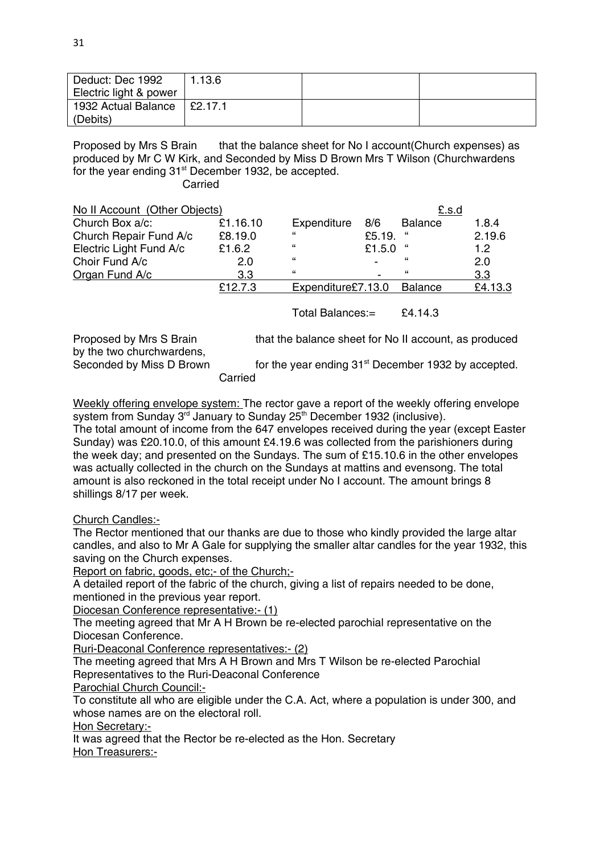| Deduct: Dec 1992<br>Electric light & power | 1.13.6  |  |
|--------------------------------------------|---------|--|
| 1932 Actual Balance<br>(Debits)            | E2.17.1 |  |

Proposed by Mrs S Brain that the balance sheet for No I account (Church expenses) as produced by Mr C W Kirk, and Seconded by Miss D Brown Mrs T Wilson (Churchwardens for the year ending  $31<sup>st</sup>$  December 1932, be accepted.

Carried

| No II Account (Other Objects) |          |                    |        | £.s.d          |         |
|-------------------------------|----------|--------------------|--------|----------------|---------|
| Church Box a/c:               | £1.16.10 | Expenditure        | 8/6    | <b>Balance</b> | 1.8.4   |
| Church Repair Fund A/c        | £8.19.0  | "                  | £5.19. | "              | 2.19.6  |
| Electric Light Fund A/c       | £1.6.2   | "                  | £1.5.0 |                | 1.2     |
| Choir Fund A/c                | 2.0      | "                  | -      | "              | 2.0     |
| Organ Fund A/c                | 3.3      | "                  |        | "              | 3.3     |
|                               | £12.7.3  | Expenditure£7.13.0 |        | Balance        | £4.13.3 |

Total Balances:= £4.14.3

Proposed by Mrs S Brain that the balance sheet for No II account, as produced by the two churchwardens,

Seconded by Miss D Brown for the year ending 31<sup>st</sup> December 1932 by accepted.

Carried

Weekly offering envelope system: The rector gave a report of the weekly offering envelope system from Sunday 3<sup>rd</sup> January to Sunday 25<sup>th</sup> December 1932 (inclusive).

The total amount of income from the 647 envelopes received during the year (except Easter Sunday) was £20.10.0, of this amount £4.19.6 was collected from the parishioners during the week day; and presented on the Sundays. The sum of £15.10.6 in the other envelopes was actually collected in the church on the Sundays at mattins and evensong. The total amount is also reckoned in the total receipt under No I account. The amount brings 8 shillings 8/17 per week.

Church Candles:-

The Rector mentioned that our thanks are due to those who kindly provided the large altar candles, and also to Mr A Gale for supplying the smaller altar candles for the year 1932, this saving on the Church expenses.

Report on fabric, goods, etc;- of the Church;-

A detailed report of the fabric of the church, giving a list of repairs needed to be done, mentioned in the previous year report.

Diocesan Conference representative:- (1)

The meeting agreed that Mr A H Brown be re-elected parochial representative on the Diocesan Conference.

Ruri-Deaconal Conference representatives:- (2)

The meeting agreed that Mrs A H Brown and Mrs T Wilson be re-elected Parochial Representatives to the Ruri-Deaconal Conference

Parochial Church Council:-

To constitute all who are eligible under the C.A. Act, where a population is under 300, and whose names are on the electoral roll.

Hon Secretary:-

It was agreed that the Rector be re-elected as the Hon. Secretary Hon Treasurers:-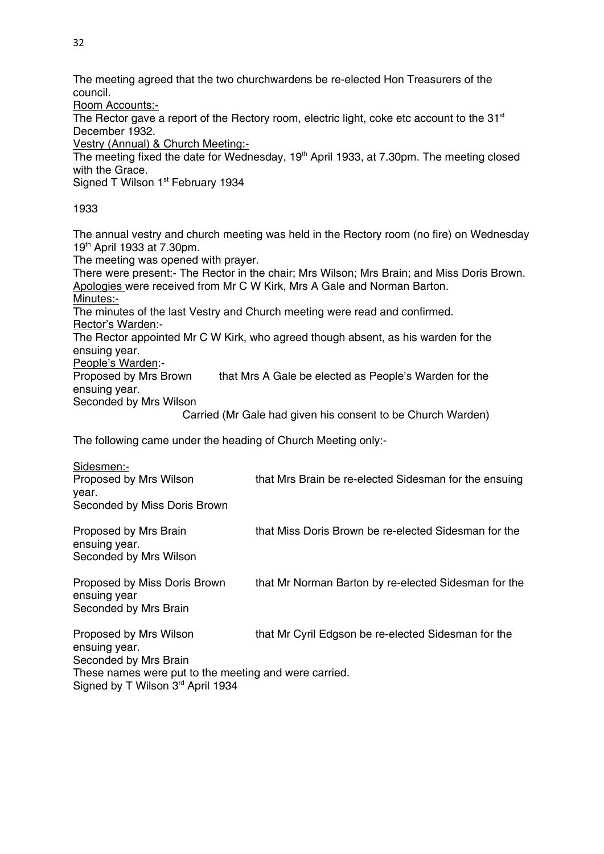The meeting agreed that the two churchwardens be re-elected Hon Treasurers of the council.

Room Accounts:-

The Rector gave a report of the Rectory room, electric light, coke etc account to the  $31<sup>st</sup>$ December 1932.

Vestry (Annual) & Church Meeting:-

The meeting fixed the date for Wednesday, 19<sup>th</sup> April 1933, at 7,30pm. The meeting closed with the Grace.

Signed T Wilson 1<sup>st</sup> February 1934

1933

The annual vestry and church meeting was held in the Rectory room (no fire) on Wednesday 19th April 1933 at 7.30pm.

The meeting was opened with prayer.

There were present:- The Rector in the chair; Mrs Wilson; Mrs Brain; and Miss Doris Brown. Apologies were received from Mr C W Kirk, Mrs A Gale and Norman Barton. Minutes:-

The minutes of the last Vestry and Church meeting were read and confirmed. Rector's Warden:-

The Rector appointed Mr C W Kirk, who agreed though absent, as his warden for the ensuing year.

People's Warden:-

Proposed by Mrs Brown that Mrs A Gale be elected as People's Warden for the ensuing year.

Seconded by Mrs Wilson

Carried (Mr Gale had given his consent to be Church Warden)

The following came under the heading of Church Meeting only:-

| Sidesmen:-                                            |                                                       |
|-------------------------------------------------------|-------------------------------------------------------|
| Proposed by Mrs Wilson                                | that Mrs Brain be re-elected Sidesman for the ensuing |
| year.                                                 |                                                       |
| Seconded by Miss Doris Brown                          |                                                       |
| Proposed by Mrs Brain<br>ensuing year.                | that Miss Doris Brown be re-elected Sidesman for the  |
| Seconded by Mrs Wilson                                |                                                       |
| Proposed by Miss Doris Brown<br>ensuing year          | that Mr Norman Barton by re-elected Sidesman for the  |
| Seconded by Mrs Brain                                 |                                                       |
| Proposed by Mrs Wilson<br>ensuing year.               | that Mr Cyril Edgson be re-elected Sidesman for the   |
| Seconded by Mrs Brain                                 |                                                       |
| These names were put to the meeting and were carried. |                                                       |
| Signed by T Wilson 3rd April 1934                     |                                                       |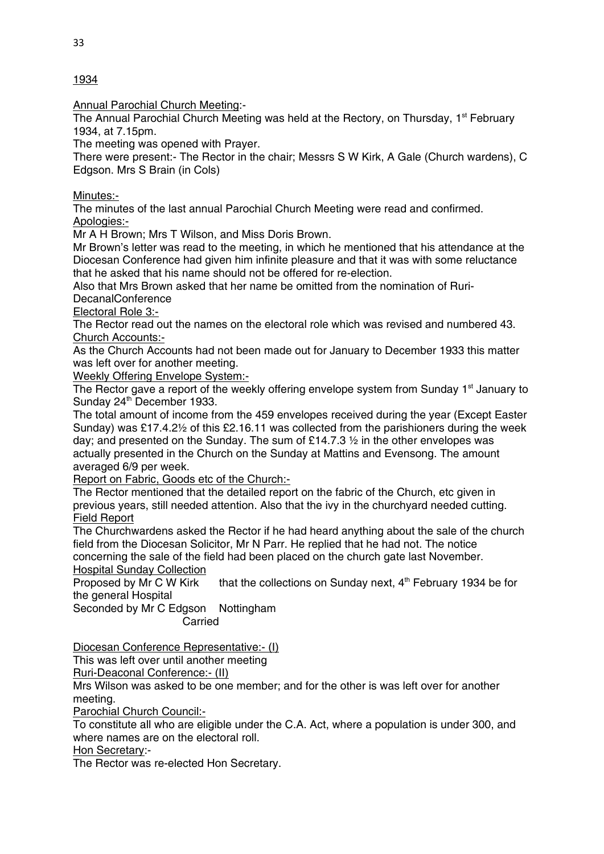Annual Parochial Church Meeting:-

The Annual Parochial Church Meeting was held at the Rectory, on Thursday,  $1<sup>st</sup>$  February 1934, at 7.15pm.

The meeting was opened with Prayer.

There were present:- The Rector in the chair; Messrs S W Kirk, A Gale (Church wardens), C Edgson. Mrs S Brain (in Cols)

Minutes:-

The minutes of the last annual Parochial Church Meeting were read and confirmed. Apologies:-

Mr A H Brown; Mrs T Wilson, and Miss Doris Brown.

Mr Brown's letter was read to the meeting, in which he mentioned that his attendance at the Diocesan Conference had given him infinite pleasure and that it was with some reluctance that he asked that his name should not be offered for re-election.

Also that Mrs Brown asked that her name be omitted from the nomination of Ruri-**DecanalConference** 

Electoral Role 3:-

The Rector read out the names on the electoral role which was revised and numbered 43. Church Accounts:-

As the Church Accounts had not been made out for January to December 1933 this matter was left over for another meeting.

Weekly Offering Envelope System:-

The Rector gave a report of the weekly offering envelope system from Sunday 1<sup>st</sup> January to Sunday 24<sup>th</sup> December 1933.

The total amount of income from the 459 envelopes received during the year (Except Easter Sunday) was £17.4.2½ of this £2.16.11 was collected from the parishioners during the week day; and presented on the Sunday. The sum of £14.7.3  $\frac{1}{2}$  in the other envelopes was actually presented in the Church on the Sunday at Mattins and Evensong. The amount averaged 6/9 per week.

Report on Fabric, Goods etc of the Church:-

The Rector mentioned that the detailed report on the fabric of the Church, etc given in previous years, still needed attention. Also that the ivy in the churchyard needed cutting. Field Report

The Churchwardens asked the Rector if he had heard anything about the sale of the church field from the Diocesan Solicitor, Mr N Parr. He replied that he had not. The notice concerning the sale of the field had been placed on the church gate last November.

**Hospital Sunday Collection**<br>Proposed by Mr C W Kirk that the collections on Sunday next,  $4<sup>th</sup>$  February 1934 be for the general Hospital

Seconded by Mr C Edgson Nottingham Carried

Diocesan Conference Representative:- (I)

This was left over until another meeting

Ruri-Deaconal Conference:- (II)

Mrs Wilson was asked to be one member; and for the other is was left over for another meeting.

Parochial Church Council:-

To constitute all who are eligible under the C.A. Act, where a population is under 300, and where names are on the electoral roll.

Hon Secretary:-

The Rector was re-elected Hon Secretary.

1934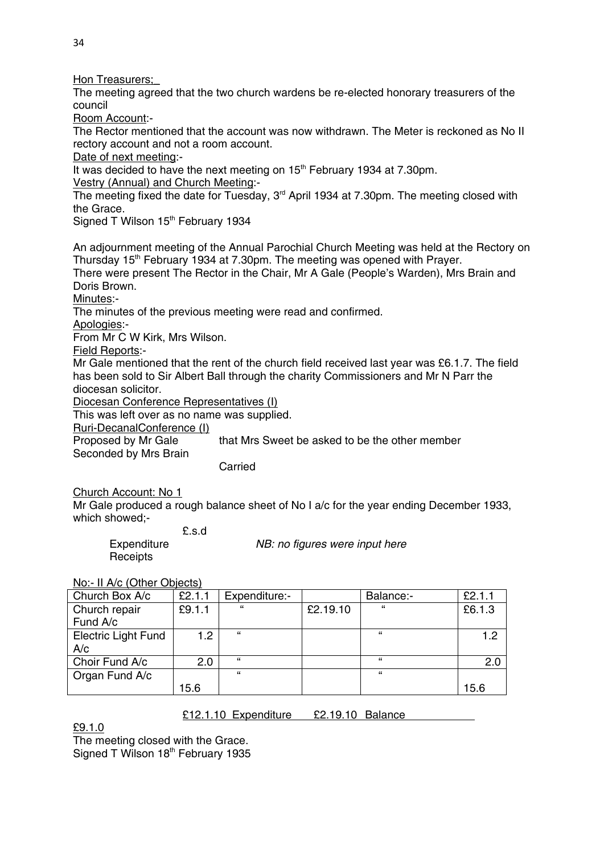Hon Treasurers;

The meeting agreed that the two church wardens be re-elected honorary treasurers of the council

Room Account:-

The Rector mentioned that the account was now withdrawn. The Meter is reckoned as No II rectory account and not a room account.

Date of next meeting:-

It was decided to have the next meeting on 15<sup>th</sup> February 1934 at 7.30pm.

Vestry (Annual) and Church Meeting:-

The meeting fixed the date for Tuesday, 3<sup>rd</sup> April 1934 at 7.30pm. The meeting closed with the Grace.

Signed T Wilson 15<sup>th</sup> February 1934

An adjournment meeting of the Annual Parochial Church Meeting was held at the Rectory on Thursday 15<sup>th</sup> February 1934 at 7.30pm. The meeting was opened with Prayer.

There were present The Rector in the Chair, Mr A Gale (People's Warden), Mrs Brain and Doris Brown.

Minutes:-

The minutes of the previous meeting were read and confirmed.

Apologies:-

From Mr C W Kirk, Mrs Wilson.

Field Reports:-

Mr Gale mentioned that the rent of the church field received last year was £6.1.7. The field has been sold to Sir Albert Ball through the charity Commissioners and Mr N Parr the diocesan solicitor.

Diocesan Conference Representatives (I)

This was left over as no name was supplied.

Ruri-DecanalConference (I)

Proposed by Mr Gale that Mrs Sweet be asked to be the other member Seconded by Mrs Brain

Carried

Church Account: No 1

Mr Gale produced a rough balance sheet of No I a/c for the year ending December 1933, which showed:-

£.s.d

Expenditure *NB: no figures were input here*

**Receipts** 

No:- II A/c (Other Objects)

| Church Box A/c             | £2.1.1 | Expenditure:- |          | Balance:-  | £2.1.1 |
|----------------------------|--------|---------------|----------|------------|--------|
| Church repair              | £9.1.1 | "             | £2.19.10 | "          | £6.1.3 |
| Fund A/c                   |        |               |          |            |        |
| <b>Electric Light Fund</b> | 1.2    | $\epsilon$    |          | $\epsilon$ | 1.2    |
| A/c                        |        |               |          |            |        |
| Choir Fund A/c             | 2.0    | $\epsilon$    |          | "          | 2.0    |
| Organ Fund A/c             |        | $\epsilon$    |          | $\epsilon$ |        |
|                            | 15.6   |               |          |            | 15.6   |

### £12.1.10 Expenditure £2.19.10 Balance

£9.1.0

The meeting closed with the Grace. Signed T Wilson 18<sup>th</sup> February 1935